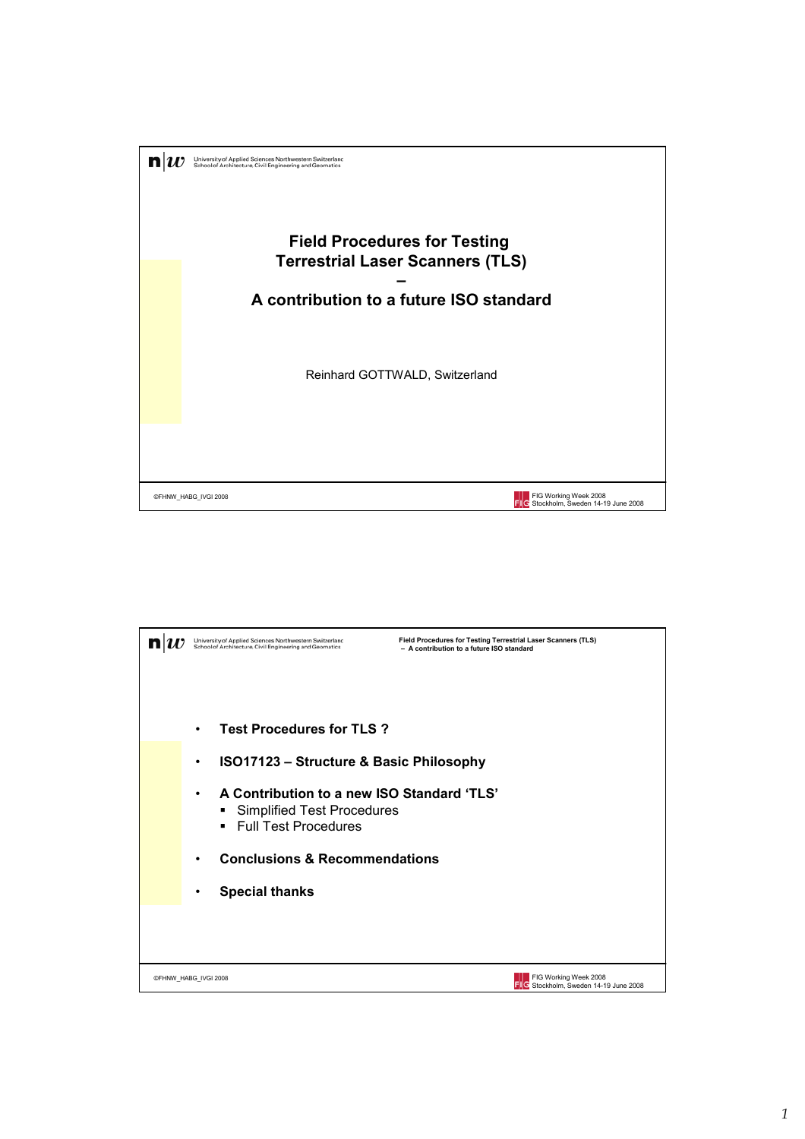

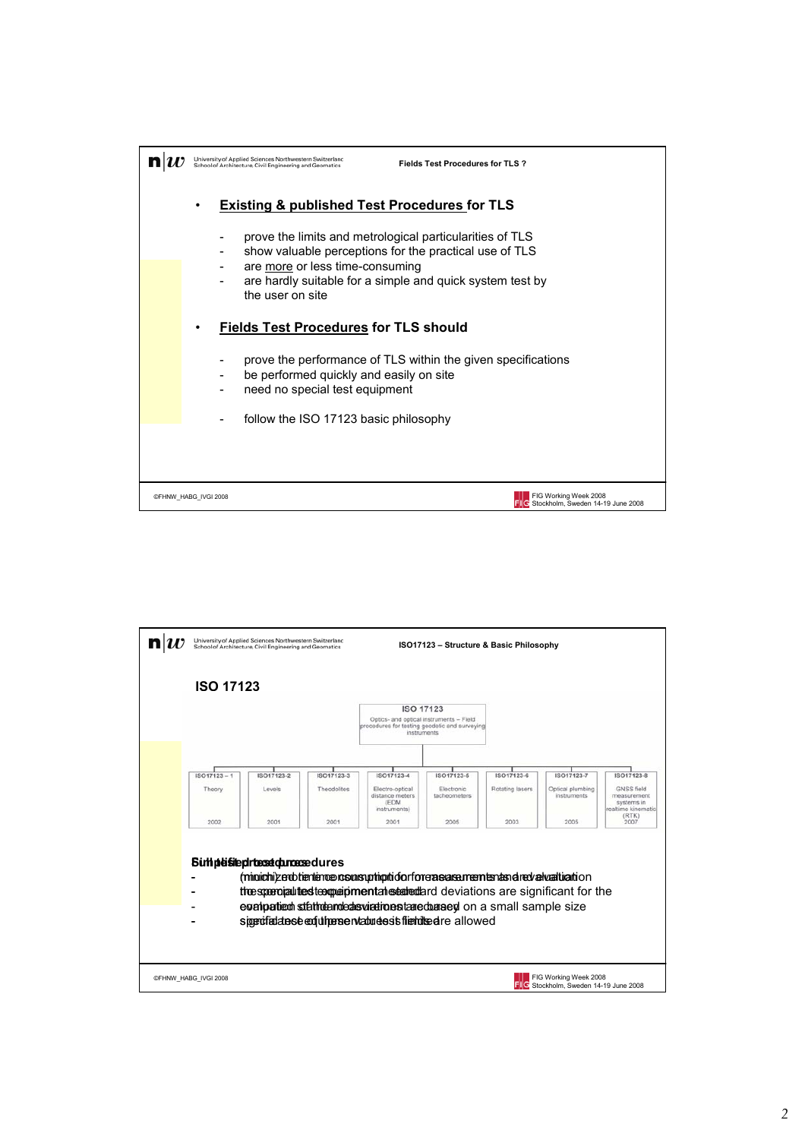

| University of Applied Sciences Northwestern Switzerland<br>School of Architecture, Civil Engineering and Geomatics |                                         | ISO17123 - Structure & Basic Philosophy |                                                                                                                                                       |                            |                 |                                                            |                                                                               |  |
|--------------------------------------------------------------------------------------------------------------------|-----------------------------------------|-----------------------------------------|-------------------------------------------------------------------------------------------------------------------------------------------------------|----------------------------|-----------------|------------------------------------------------------------|-------------------------------------------------------------------------------|--|
| <b>ISO 17123</b>                                                                                                   |                                         |                                         |                                                                                                                                                       |                            |                 |                                                            |                                                                               |  |
|                                                                                                                    |                                         |                                         | <b>ISO 17123</b><br>Optics- and optical instruments - Field<br>procedures for testing geodetic and surveying<br>instruments                           |                            |                 |                                                            |                                                                               |  |
| $ISO17123 - 1$                                                                                                     | ISO17123-2                              | ISO17123-3                              | ISO17123-4                                                                                                                                            | ISO17123-5                 | ISO17123-6      | ISO17123-7                                                 | ISO17123-8                                                                    |  |
| Theory                                                                                                             | Levels                                  | Theodolites                             | Electro-optical<br>distance meters<br>(EDM)<br>instruments)                                                                                           | Electronic<br>tacheometers | Rotating lasers | Optical plumbing<br><i>instruments</i>                     | <b>GNSS</b> field<br>measurement<br>systems in<br>realtime kinematic<br>(RTK) |  |
| 2002                                                                                                               | 2001                                    | 2001                                    | 2001                                                                                                                                                  | 2005                       | 2003            | 2005                                                       | 2007                                                                          |  |
|                                                                                                                    | <b>Suthpleistephrtesetch.roasedures</b> |                                         | (minichi)zenbtientence rosunsuphip tidorfore a sexa memberias el redvaludado o n                                                                      |                            |                 |                                                            |                                                                               |  |
|                                                                                                                    |                                         |                                         | the sperojal test text periodic stated and deviations are significant for the<br>evalupatient stathdanded sviationstated based on a small sample size |                            |                 |                                                            |                                                                               |  |
|                                                                                                                    |                                         |                                         | sigerofiadanse en fut person vabudes is fierbilised reallowed                                                                                         |                            |                 |                                                            |                                                                               |  |
|                                                                                                                    |                                         |                                         |                                                                                                                                                       |                            |                 |                                                            |                                                                               |  |
| ©FHNW HABG IVGI 2008                                                                                               |                                         |                                         |                                                                                                                                                       |                            |                 | FIG Working Week 2008<br>Stockholm, Sweden 14-19 June 2008 |                                                                               |  |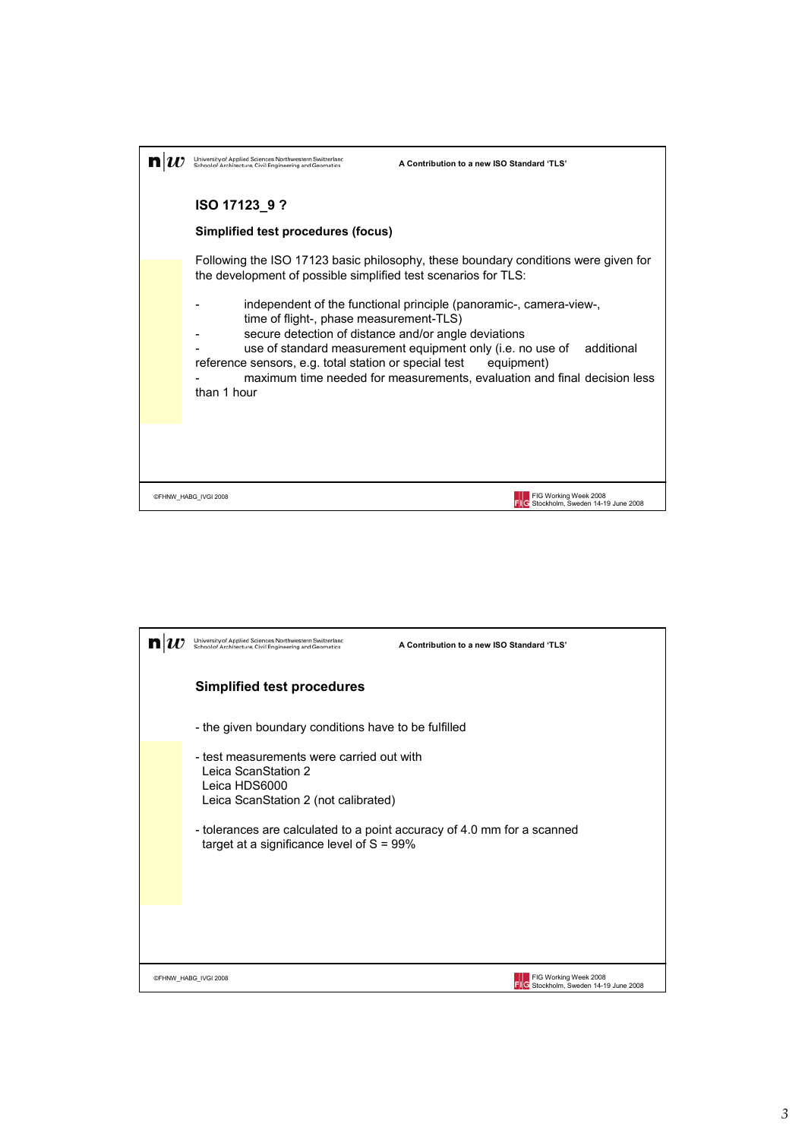| Iniversity of Applied Sciences Northwestern Switzerlanc<br>School of Architecture, Civil Engineering and Geomatics                                                      | A Contribution to a new ISO Standard 'TLS'                                                                                                                                                                                               |
|-------------------------------------------------------------------------------------------------------------------------------------------------------------------------|------------------------------------------------------------------------------------------------------------------------------------------------------------------------------------------------------------------------------------------|
| ISO 17123_9?                                                                                                                                                            |                                                                                                                                                                                                                                          |
| Simplified test procedures (focus)                                                                                                                                      |                                                                                                                                                                                                                                          |
| the development of possible simplified test scenarios for TLS:                                                                                                          | Following the ISO 17123 basic philosophy, these boundary conditions were given for                                                                                                                                                       |
| time of flight-, phase measurement-TLS)<br>secure detection of distance and/or angle deviations<br>reference sensors, e.g. total station or special test<br>than 1 hour | independent of the functional principle (panoramic-, camera-view-,<br>use of standard measurement equipment only (i.e. no use of<br>additional<br>equipment)<br>maximum time needed for measurements, evaluation and final decision less |
|                                                                                                                                                                         |                                                                                                                                                                                                                                          |
| @FHNW_HABG_IVGI 2008                                                                                                                                                    | FIG Working Week 2008<br>Stockholm, Sweden 14-19 June 2008                                                                                                                                                                               |

|                                                                                    | University of Applied Sciences Northwestern Switzerland<br>School of Architecture, Civil Engineering and Geomatics                                                                                                                                   | A Contribution to a new ISO Standard 'TLS' |  |  |  |  |
|------------------------------------------------------------------------------------|------------------------------------------------------------------------------------------------------------------------------------------------------------------------------------------------------------------------------------------------------|--------------------------------------------|--|--|--|--|
|                                                                                    | <b>Simplified test procedures</b>                                                                                                                                                                                                                    |                                            |  |  |  |  |
|                                                                                    | - the given boundary conditions have to be fulfilled                                                                                                                                                                                                 |                                            |  |  |  |  |
|                                                                                    | - test measurements were carried out with<br>Leica ScanStation 2<br>Leica HDS6000<br>Leica ScanStation 2 (not calibrated)<br>- tolerances are calculated to a point accuracy of 4.0 mm for a scanned<br>target at a significance level of $S = 99\%$ |                                            |  |  |  |  |
|                                                                                    |                                                                                                                                                                                                                                                      |                                            |  |  |  |  |
| FIG Working Week 2008<br>©FHNW HABG IVGI 2008<br>Stockholm, Sweden 14-19 June 2008 |                                                                                                                                                                                                                                                      |                                            |  |  |  |  |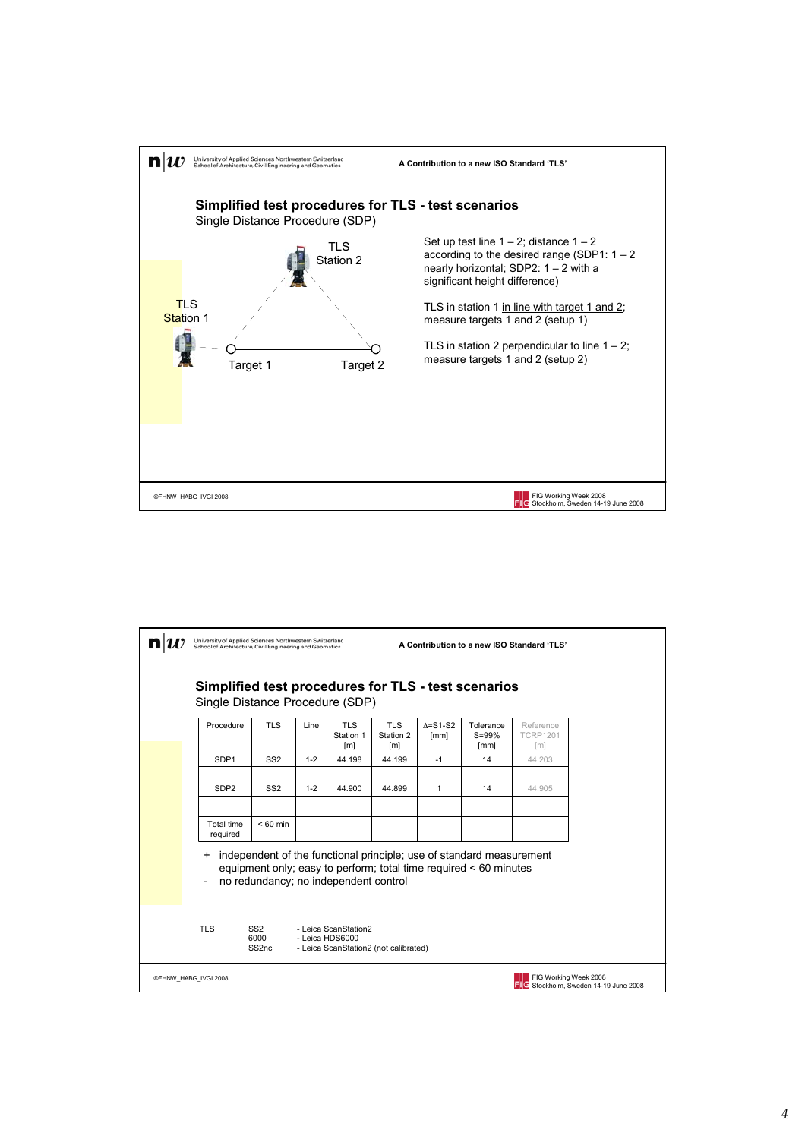

| University of Applied Sciences Northwestern Switzerlanc<br>A Contribution to a new ISO Standard 'TLS'<br>School of Architecture, Civil Engineering and Geomatics |                                              |         |                                         |                                             |                          |                                                                                                                                           |                                                   |                                                                        |  |
|------------------------------------------------------------------------------------------------------------------------------------------------------------------|----------------------------------------------|---------|-----------------------------------------|---------------------------------------------|--------------------------|-------------------------------------------------------------------------------------------------------------------------------------------|---------------------------------------------------|------------------------------------------------------------------------|--|
| Simplified test procedures for TLS - test scenarios<br>Single Distance Procedure (SDP)                                                                           |                                              |         |                                         |                                             |                          |                                                                                                                                           |                                                   |                                                                        |  |
| Procedure                                                                                                                                                        | <b>TLS</b>                                   | Line    | <b>TLS</b><br>Station 1<br>[ml]         | <b>TLS</b><br>Station 2<br>[ <sub>m</sub> ] | $\Delta = S1-S2$<br>[mm] | Tolerance<br>S=99%<br>[mm]                                                                                                                | Reference<br><b>TCRP1201</b><br>$\lceil m \rceil$ |                                                                        |  |
| SDP <sub>1</sub>                                                                                                                                                 | SS <sub>2</sub>                              | $1 - 2$ | 44.198                                  | 44.199                                      | $-1$                     | 14                                                                                                                                        | 44.203                                            |                                                                        |  |
| SDP <sub>2</sub>                                                                                                                                                 | SS <sub>2</sub>                              | $1 - 2$ | 44.900                                  | 44.899                                      | $\mathbf{1}$             | 14                                                                                                                                        | 44.905                                            |                                                                        |  |
| <b>Total time</b><br>required                                                                                                                                    | $< 60$ min                                   |         |                                         |                                             |                          |                                                                                                                                           |                                                   |                                                                        |  |
| +                                                                                                                                                                | no redundancy; no independent control        |         |                                         |                                             |                          | independent of the functional principle; use of standard measurement<br>equipment only; easy to perform; total time required < 60 minutes |                                                   |                                                                        |  |
| <b>TLS</b>                                                                                                                                                       | SS <sub>2</sub><br>6000<br>SS <sub>2nc</sub> |         | - Leica ScanStation2<br>- Leica HDS6000 | - Leica ScanStation2 (not calibrated)       |                          |                                                                                                                                           |                                                   |                                                                        |  |
| ©FHNW HABG IVGI 2008                                                                                                                                             |                                              |         |                                         |                                             |                          |                                                                                                                                           |                                                   | FIG Working Week 2008<br><b>FILE</b> Stockholm. Sweden 14-19 June 2008 |  |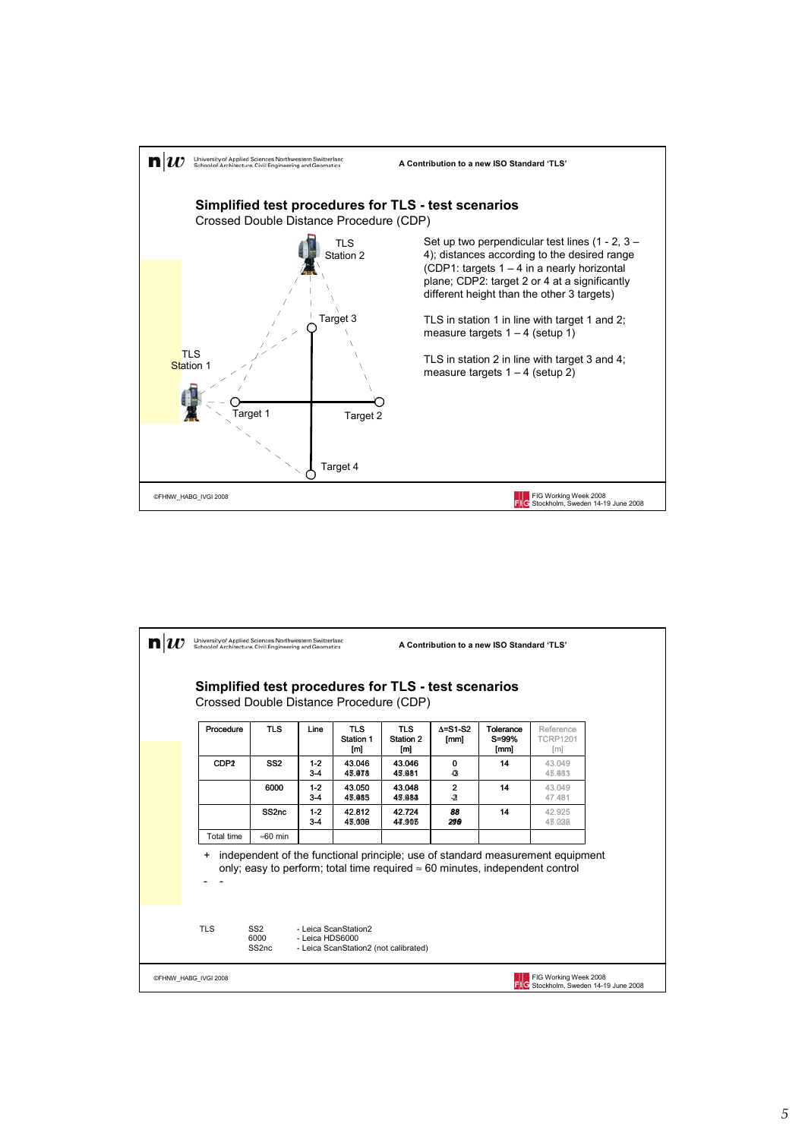

| University of Applied Sciences Northwestern Switzerland<br>School of Architecture, Civil Engineering and Geomatics |                                              |                 | A Contribution to a new ISO Standard 'TLS'                    |                                |                          |                                                                                      |                                                                                |  |
|--------------------------------------------------------------------------------------------------------------------|----------------------------------------------|-----------------|---------------------------------------------------------------|--------------------------------|--------------------------|--------------------------------------------------------------------------------------|--------------------------------------------------------------------------------|--|
| Simplified test procedures for TLS - test scenarios<br>Crossed Double Distance Procedure (CDP)                     |                                              |                 |                                                               |                                |                          |                                                                                      |                                                                                |  |
| Procedure                                                                                                          | <b>TLS</b>                                   | Line            | <b>TLS</b><br>Station 1<br>[m]                                | <b>TLS</b><br>Station 2<br>[m] | $\Delta = S1-S2$<br>[mm] | Tolerance<br>S=99%<br>[mm]                                                           | Reference<br><b>TCRP1201</b><br>[m]                                            |  |
| CDP <sub>2</sub>                                                                                                   | SS <sub>2</sub>                              | $1-2$<br>$3-4$  | 43.046<br>43.078                                              | 43.046<br>43.981               | 0<br>$\mathbf G$         | 14                                                                                   | 43.049<br>43.983                                                               |  |
|                                                                                                                    | 6000                                         | $1-2$<br>$3-4$  | 43.050<br>43.085                                              | 43.048<br>45.983               | 2<br>$-2$                | 14                                                                                   | 43.049<br>47.481                                                               |  |
|                                                                                                                    | SS <sub>2nc</sub>                            | $1-2$<br>$3-4$  | 42.812<br>43.000                                              | 42.724<br>44.903               | 88<br>290                | 14                                                                                   | 42.925<br>43.030                                                               |  |
| <b>Total time</b>                                                                                                  | $\approx 60$ min                             |                 |                                                               |                                |                          |                                                                                      |                                                                                |  |
| +                                                                                                                  |                                              |                 |                                                               |                                |                          | only; easy to perform; total time required $\approx$ 60 minutes, independent control | independent of the functional principle; use of standard measurement equipment |  |
| <b>TLS</b>                                                                                                         | SS <sub>2</sub><br>6000<br>SS <sub>2nc</sub> | - Leica HDS6000 | - Leica ScanStation2<br>- Leica ScanStation2 (not calibrated) |                                |                          |                                                                                      |                                                                                |  |
| FIG Working Week 2008<br>@FHNW_HABG_IVGI 2008<br><b>FILE</b> Stockholm. Sweden 14-19 June 2008                     |                                              |                 |                                                               |                                |                          |                                                                                      |                                                                                |  |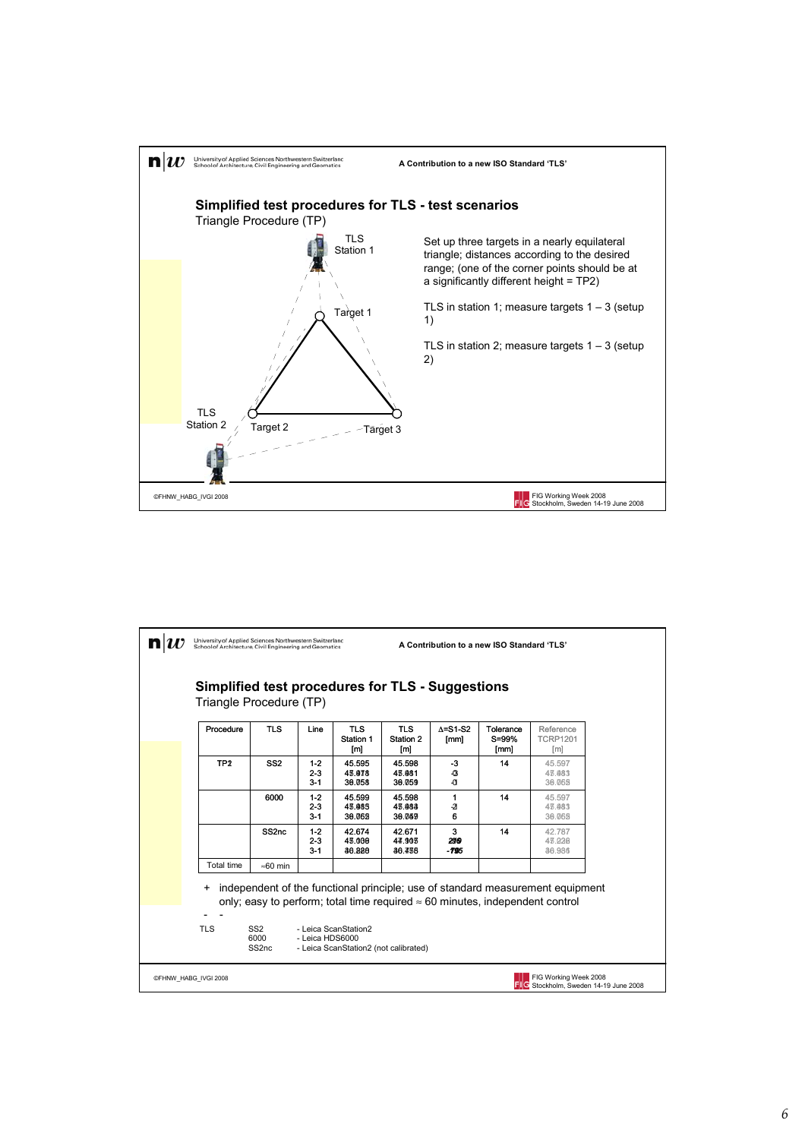

| University of Applied Sciences Northwestern Switzerland<br>School of Architecture, Civil Engineering and Geomatics          |                                              |                               |                                | A Contribution to a new ISO Standard 'TLS' |                                   |                                                                                      |                                                                                |  |
|-----------------------------------------------------------------------------------------------------------------------------|----------------------------------------------|-------------------------------|--------------------------------|--------------------------------------------|-----------------------------------|--------------------------------------------------------------------------------------|--------------------------------------------------------------------------------|--|
| Simplified test procedures for TLS - Suggestions<br>Triangle Procedure (TP)                                                 |                                              |                               |                                |                                            |                                   |                                                                                      |                                                                                |  |
| Procedure                                                                                                                   | <b>TLS</b>                                   | Line                          | <b>TLS</b><br>Station 1<br>[m] | <b>TLS</b><br>Station 2<br>[m]             | $\Delta = S1-S2$<br>[mm]          | Tolerance<br>S=99%<br>[mm]                                                           | Reference<br><b>TCRP1201</b><br>[m]                                            |  |
| TP <sub>2</sub>                                                                                                             | SS <sub>2</sub>                              | $1 - 2$<br>$2 - 3$<br>$3 - 1$ | 45.595<br>43.978<br>30.058     | 45.598<br>43.981<br>30.059                 | -3<br>$\bullet$<br>-C1            | 14                                                                                   | 45.597<br>43.483<br>30.065                                                     |  |
|                                                                                                                             | 6000                                         | $1 - 2$<br>$2 - 3$<br>$3 - 1$ | 45.599<br>43.985<br>30.062     | 45.598<br>43.983<br>30.059                 | 1<br>$\overline{\mathbf{a}}$<br>6 | 14                                                                                   | 45.597<br>43.483<br>30.065                                                     |  |
|                                                                                                                             | SS <sub>2nc</sub>                            | $1 - 2$<br>$2 - 3$<br>$3 - 1$ | 42.674<br>43.000<br>36.888     | 42.671<br>44.905<br>36.438                 | 3<br>290<br>-795                  | 14                                                                                   | 42.787<br>43.026<br>36,986                                                     |  |
| Total time                                                                                                                  | $\approx 60$ min                             |                               |                                |                                            |                                   |                                                                                      |                                                                                |  |
| $\ddot{}$<br><b>TLS</b>                                                                                                     | SS <sub>2</sub><br>6000<br>SS <sub>2nc</sub> | - Leica HDS6000               | - Leica ScanStation2           |                                            |                                   | only; easy to perform; total time required $\approx$ 60 minutes, independent control | independent of the functional principle; use of standard measurement equipment |  |
| - Leica ScanStation2 (not calibrated)<br>FIG Working Week 2008<br>©FHNW HABG IVGI 2008<br>Stockholm, Sweden 14-19 June 2008 |                                              |                               |                                |                                            |                                   |                                                                                      |                                                                                |  |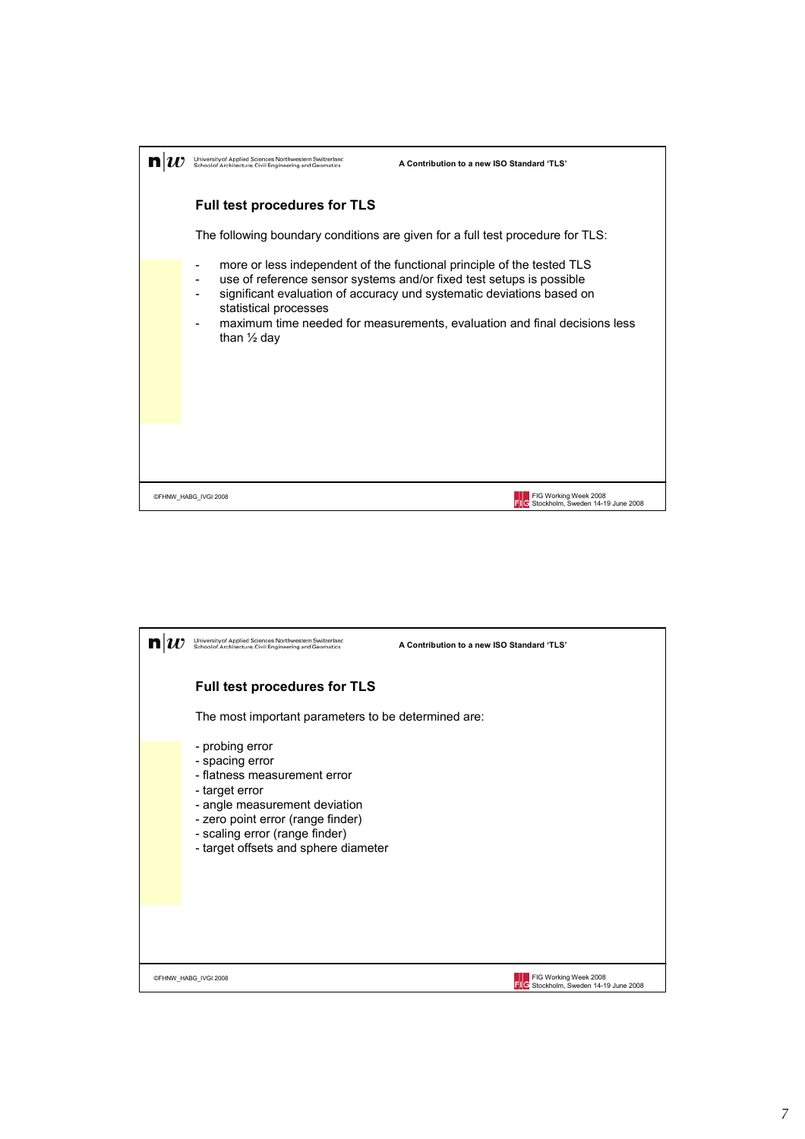

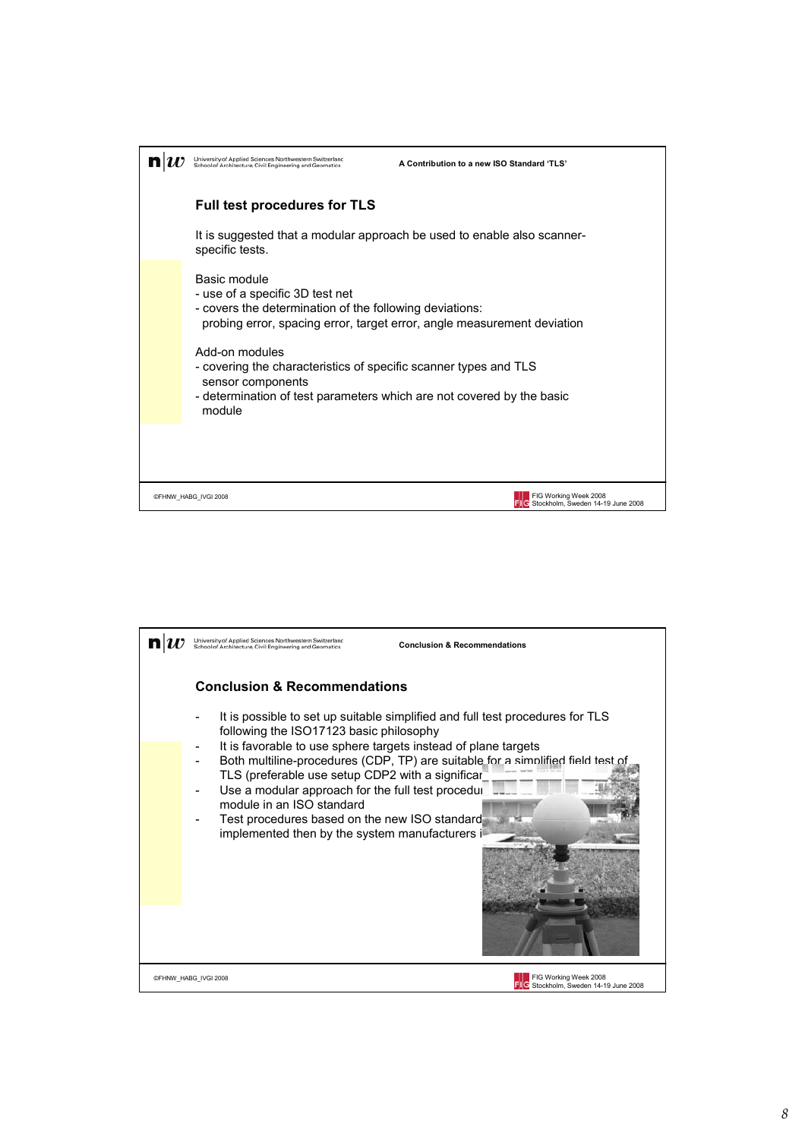

| Iniversity of Applied Sciences Northwestern Switzerlanc<br>School of Architecture, Civil Engineering and Geomatics                                                                                                                                                                                                          | <b>Conclusion &amp; Recommendations</b>                                                                                                                                                                                            |
|-----------------------------------------------------------------------------------------------------------------------------------------------------------------------------------------------------------------------------------------------------------------------------------------------------------------------------|------------------------------------------------------------------------------------------------------------------------------------------------------------------------------------------------------------------------------------|
| <b>Conclusion &amp; Recommendations</b><br>following the ISO17123 basic philosophy<br>TLS (preferable use setup CDP2 with a significar<br>Use a modular approach for the full test procedui<br>module in an ISO standard<br>Test procedures based on the new ISO standard<br>implemented then by the system manufacturers i | It is possible to set up suitable simplified and full test procedures for TLS<br>It is favorable to use sphere targets instead of plane targets<br>Both multiline-procedures (CDP, TP) are suitable for a simplified field test of |
|                                                                                                                                                                                                                                                                                                                             |                                                                                                                                                                                                                                    |
| ©FHNW HABG IVGI 2008                                                                                                                                                                                                                                                                                                        | FIG Working Week 2008<br>Stockholm, Sweden 14-19 June 2008                                                                                                                                                                         |